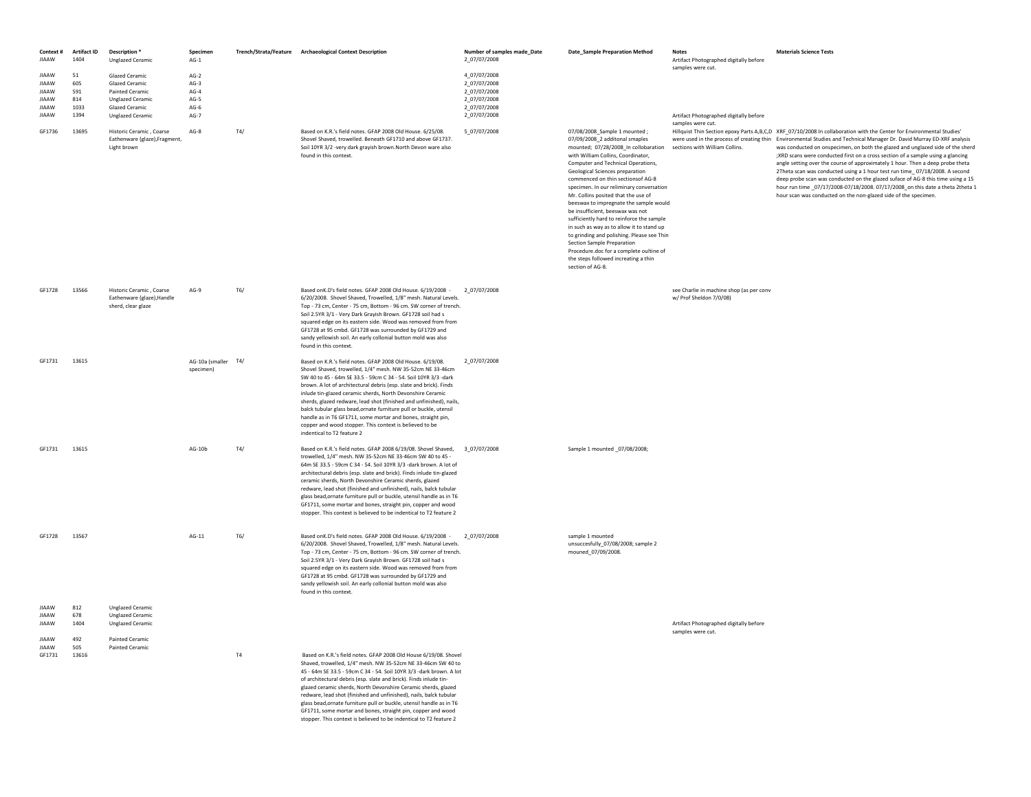| Context #<br>JIAAW                    | <b>Artifact ID</b><br>1404 | Description <sup>*</sup><br><b>Unglazed Ceramic</b>                           | Specimen<br>$AG-1$               |     | Trench/Strata/Feature Archaeological Context Description                                                                                                                                                                                                                                                                                                                                                                                                                                                                                                                                                                              | Number of samples made_Date<br>2_07/07/2008 | <b>Date_Sample Preparation Method</b>                                                                                                                                                                                                                                                                                                                                                                                                                                                                                                                                                                                                                                                                    | <b>Notes</b><br>Artifact Photographed digitally before              | <b>Materials Science Tests</b>                                                                                                                                                                                                                                                                                                                                                                                                                                                                                                                                                                                                                                                                                                                                                                                                |
|---------------------------------------|----------------------------|-------------------------------------------------------------------------------|----------------------------------|-----|---------------------------------------------------------------------------------------------------------------------------------------------------------------------------------------------------------------------------------------------------------------------------------------------------------------------------------------------------------------------------------------------------------------------------------------------------------------------------------------------------------------------------------------------------------------------------------------------------------------------------------------|---------------------------------------------|----------------------------------------------------------------------------------------------------------------------------------------------------------------------------------------------------------------------------------------------------------------------------------------------------------------------------------------------------------------------------------------------------------------------------------------------------------------------------------------------------------------------------------------------------------------------------------------------------------------------------------------------------------------------------------------------------------|---------------------------------------------------------------------|-------------------------------------------------------------------------------------------------------------------------------------------------------------------------------------------------------------------------------------------------------------------------------------------------------------------------------------------------------------------------------------------------------------------------------------------------------------------------------------------------------------------------------------------------------------------------------------------------------------------------------------------------------------------------------------------------------------------------------------------------------------------------------------------------------------------------------|
|                                       |                            |                                                                               |                                  |     |                                                                                                                                                                                                                                                                                                                                                                                                                                                                                                                                                                                                                                       |                                             |                                                                                                                                                                                                                                                                                                                                                                                                                                                                                                                                                                                                                                                                                                          | samples were cut.                                                   |                                                                                                                                                                                                                                                                                                                                                                                                                                                                                                                                                                                                                                                                                                                                                                                                                               |
| <b>JIAAW</b>                          | 51                         | Glazed Ceramic                                                                | $AG-2$                           |     |                                                                                                                                                                                                                                                                                                                                                                                                                                                                                                                                                                                                                                       | 4_07/07/2008                                |                                                                                                                                                                                                                                                                                                                                                                                                                                                                                                                                                                                                                                                                                                          |                                                                     |                                                                                                                                                                                                                                                                                                                                                                                                                                                                                                                                                                                                                                                                                                                                                                                                                               |
| <b>IIAAW</b>                          | 605                        | Glazed Ceramic                                                                | $AG-3$                           |     |                                                                                                                                                                                                                                                                                                                                                                                                                                                                                                                                                                                                                                       | 2_07/07/2008                                |                                                                                                                                                                                                                                                                                                                                                                                                                                                                                                                                                                                                                                                                                                          |                                                                     |                                                                                                                                                                                                                                                                                                                                                                                                                                                                                                                                                                                                                                                                                                                                                                                                                               |
| <b>JIAAW</b>                          | 591                        | <b>Painted Ceramic</b>                                                        | $AG-4$                           |     |                                                                                                                                                                                                                                                                                                                                                                                                                                                                                                                                                                                                                                       | 2 07/07/2008                                |                                                                                                                                                                                                                                                                                                                                                                                                                                                                                                                                                                                                                                                                                                          |                                                                     |                                                                                                                                                                                                                                                                                                                                                                                                                                                                                                                                                                                                                                                                                                                                                                                                                               |
| <b>JIAAW</b>                          | 814                        | <b>Unglazed Ceramic</b>                                                       | $AG-5$                           |     |                                                                                                                                                                                                                                                                                                                                                                                                                                                                                                                                                                                                                                       | 2_07/07/2008                                |                                                                                                                                                                                                                                                                                                                                                                                                                                                                                                                                                                                                                                                                                                          |                                                                     |                                                                                                                                                                                                                                                                                                                                                                                                                                                                                                                                                                                                                                                                                                                                                                                                                               |
| <b>JIAAW</b><br>JIAAW                 | 1033<br>1394               | Glazed Ceramic<br><b>Unglazed Ceramic</b>                                     | $AG-6$<br>$AG-7$                 |     |                                                                                                                                                                                                                                                                                                                                                                                                                                                                                                                                                                                                                                       | 2 07/07/2008<br>2_07/07/2008                |                                                                                                                                                                                                                                                                                                                                                                                                                                                                                                                                                                                                                                                                                                          | Artifact Photographed digitally before                              |                                                                                                                                                                                                                                                                                                                                                                                                                                                                                                                                                                                                                                                                                                                                                                                                                               |
| GF1736                                | 13695                      | Historic Ceramic, Coarse<br>Eathenware (glaze), Fragment,<br>Light brown      | $AG-8$                           | T4/ | Based on K.R.'s field notes. GFAP 2008 Old House. 6/25/08.<br>Shovel Shaved, trowelled, Beneath GF1710 and above GF1737.<br>Soil 10YR 3/2 -very dark grayish brown. North Devon ware also<br>found in this context.                                                                                                                                                                                                                                                                                                                                                                                                                   | 5_07/07/2008                                | 07/08/2008_Sample 1 mounted;<br>07/09/2008_2 additonal smaples<br>mounted; 07/28/2008_In collobaration<br>with William Collins, Coordinator,<br>Computer and Technical Operations,<br>Geological Sciences preparation<br>commenced on thin sectionsof AG-8<br>specimen. In our reliminary conversation<br>Mr. Collins posited that the use of<br>beeswax to impregnate the sample would<br>be insufficient, beeswax was not<br>sufficiently hard to reinforce the sample<br>in such as way as to allow it to stand up<br>to grinding and polishing. Please see Thin<br>Section Sample Preparation<br>Procedure.doc for a complete oultine of<br>the steps followed increating a thin<br>section of AG-8. | samples were cut.<br>sections with William Collins.                 | Hillquist Thin Section epoxy Parts A,B,C,D XRF_07/10/2008 In collaboration with the Center for Environmental Studies'<br>were used in the process of creating thin Environmental Studies and Technical Manager Dr. David Murray ED-XRF analysis<br>was conducted on onspecimen, on both the glazed and unglazed side of the sherd<br>;XRD scans were conducted first on a cross section of a sample using a glancing<br>angle setting over the course of approximately 1 hour. Then a deep probe theta<br>2Theta scan was conducted using a 1 hour test run time_07/18/2008. A second<br>deep probe scan was conducted on the glazed suface of AG-8 this time using a 15<br>hour run time _07/17/2008-07/18/2008. 07/17/2008_on this date a theta 2theta 1<br>hour scan was conducted on the non-glazed side of the specimen. |
| GF1728                                | 13566                      | Historic Ceramic . Coarse<br>Eathenware (glaze), Handle<br>sherd, clear glaze | $AG-9$                           | T6/ | Based onK.D's field notes. GFAP 2008 Old House. 6/19/2008 -<br>6/20/2008. Shovel Shaved, Trowelled, 1/8" mesh. Natural Levels.<br>Top - 73 cm. Center - 75 cm. Bottom - 96 cm. SW corner of trench.<br>Soil 2.5YR 3/1 - Very Dark Grayish Brown. GF1728 soil had s<br>squared edge on its eastern side. Wood was removed from from<br>GF1728 at 95 cmbd. GF1728 was surrounded by GF1729 and<br>sandy yellowish soil. An early collonial button mold was also<br>found in this context.                                                                                                                                               | 2 07/07/2008                                |                                                                                                                                                                                                                                                                                                                                                                                                                                                                                                                                                                                                                                                                                                          | see Charlie in machine shop (as per conv<br>w/ Prof Sheldon 7/0/08) |                                                                                                                                                                                                                                                                                                                                                                                                                                                                                                                                                                                                                                                                                                                                                                                                                               |
| GF1731                                | 13615                      |                                                                               | AG-10a (smaller T4/<br>specimen) |     | Based on K.R.'s field notes. GFAP 2008 Old House. 6/19/08.<br>Shovel Shaved, trowelled, 1/4" mesh, NW 35-52cm NF 33-46cm<br>SW 40 to 45 - 64m SE 33.5 - 59cm C 34 - 54. Soil 10YR 3/3 -dark<br>brown. A lot of architectural debris (esp. slate and brick). Finds<br>inlude tin-glazed ceramic sherds, North Devonshire Ceramic<br>sherds, glazed redware, lead shot (finished and unfinished), nails,<br>balck tubular glass bead, ornate furniture pull or buckle, utensil<br>handle as in T6 GF1711, some mortar and bones, straight pin,<br>copper and wood stopper. This context is believed to be<br>indentical to T2 feature 2 | 2_07/07/2008                                |                                                                                                                                                                                                                                                                                                                                                                                                                                                                                                                                                                                                                                                                                                          |                                                                     |                                                                                                                                                                                                                                                                                                                                                                                                                                                                                                                                                                                                                                                                                                                                                                                                                               |
| GF1731                                | 13615                      |                                                                               | $AG-10b$                         | T4/ | Based on K.R.'s field notes. GFAP 2008 6/19/08. Shovel Shaved, 3_07/07/2008<br>trowelled, 1/4" mesh. NW 35-52cm NE 33-46cm SW 40 to 45 -<br>64m SE 33.5 - 59cm C 34 - 54. Soil 10YR 3/3 -dark brown. A lot of<br>architectural debris (esp. slate and brick). Finds inlude tin-glazed<br>ceramic sherds, North Devonshire Ceramic sherds, glazed<br>redware, lead shot (finished and unfinished), nails, balck tubular<br>glass bead, ornate furniture pull or buckle, utensil handle as in T6<br>GF1711, some mortar and bones, straight pin, copper and wood<br>stopper. This context is believed to be indentical to T2 feature 2  |                                             | Sample 1 mounted _07/08/2008;                                                                                                                                                                                                                                                                                                                                                                                                                                                                                                                                                                                                                                                                            |                                                                     |                                                                                                                                                                                                                                                                                                                                                                                                                                                                                                                                                                                                                                                                                                                                                                                                                               |
| GF1728                                | 13567                      |                                                                               | $AG-11$                          | T6/ | Based onK.D's field notes. GFAP 2008 Old House. 6/19/2008 -<br>6/20/2008. Shovel Shaved, Trowelled, 1/8" mesh. Natural Levels.<br>Top - 73 cm. Center - 75 cm. Bottom - 96 cm. SW corner of trench.<br>Soil 2.5YR 3/1 - Very Dark Grayish Brown. GF1728 soil had s<br>squared edge on its eastern side. Wood was removed from from<br>GF1728 at 95 cmbd. GF1728 was surrounded by GF1729 and<br>sandy yellowish soil. An early collonial button mold was also<br>found in this context                                                                                                                                                | 2_07/07/2008                                | sample 1 mounted<br>unsuccesfully_07/08/2008; sample 2<br>mouned_07/09/2008.                                                                                                                                                                                                                                                                                                                                                                                                                                                                                                                                                                                                                             |                                                                     |                                                                                                                                                                                                                                                                                                                                                                                                                                                                                                                                                                                                                                                                                                                                                                                                                               |
| <b>JIAAW</b><br><b>IIAAW</b><br>JIAAW | 812<br>678<br>1404         | <b>Unglazed Ceramic</b><br><b>Unglazed Ceramic</b><br><b>Unglazed Ceramic</b> |                                  |     |                                                                                                                                                                                                                                                                                                                                                                                                                                                                                                                                                                                                                                       |                                             |                                                                                                                                                                                                                                                                                                                                                                                                                                                                                                                                                                                                                                                                                                          | Artifact Photographed digitally before                              |                                                                                                                                                                                                                                                                                                                                                                                                                                                                                                                                                                                                                                                                                                                                                                                                                               |
| <b>JIAAW</b>                          | 492                        | <b>Painted Ceramic</b>                                                        |                                  |     |                                                                                                                                                                                                                                                                                                                                                                                                                                                                                                                                                                                                                                       |                                             |                                                                                                                                                                                                                                                                                                                                                                                                                                                                                                                                                                                                                                                                                                          | samples were cut.                                                   |                                                                                                                                                                                                                                                                                                                                                                                                                                                                                                                                                                                                                                                                                                                                                                                                                               |
| <b>JIAAW</b>                          | 505                        | <b>Painted Ceramic</b>                                                        |                                  |     |                                                                                                                                                                                                                                                                                                                                                                                                                                                                                                                                                                                                                                       |                                             |                                                                                                                                                                                                                                                                                                                                                                                                                                                                                                                                                                                                                                                                                                          |                                                                     |                                                                                                                                                                                                                                                                                                                                                                                                                                                                                                                                                                                                                                                                                                                                                                                                                               |
| GF1731                                | 13616                      |                                                                               |                                  | T4  | Based on K.R.'s field notes. GFAP 2008 Old House 6/19/08. Shovel                                                                                                                                                                                                                                                                                                                                                                                                                                                                                                                                                                      |                                             |                                                                                                                                                                                                                                                                                                                                                                                                                                                                                                                                                                                                                                                                                                          |                                                                     |                                                                                                                                                                                                                                                                                                                                                                                                                                                                                                                                                                                                                                                                                                                                                                                                                               |
|                                       |                            |                                                                               |                                  |     | Shaved, trowelled, 1/4" mesh. NW 35-52cm NE 33-46cm SW 40 to                                                                                                                                                                                                                                                                                                                                                                                                                                                                                                                                                                          |                                             |                                                                                                                                                                                                                                                                                                                                                                                                                                                                                                                                                                                                                                                                                                          |                                                                     |                                                                                                                                                                                                                                                                                                                                                                                                                                                                                                                                                                                                                                                                                                                                                                                                                               |
|                                       |                            |                                                                               |                                  |     | 45 - 64m SE 33.5 - 59cm C 34 - 54. Soil 10YR 3/3 -dark brown. A lot                                                                                                                                                                                                                                                                                                                                                                                                                                                                                                                                                                   |                                             |                                                                                                                                                                                                                                                                                                                                                                                                                                                                                                                                                                                                                                                                                                          |                                                                     |                                                                                                                                                                                                                                                                                                                                                                                                                                                                                                                                                                                                                                                                                                                                                                                                                               |
|                                       |                            |                                                                               |                                  |     | of architectural debris (esp. slate and brick). Finds inlude tin-                                                                                                                                                                                                                                                                                                                                                                                                                                                                                                                                                                     |                                             |                                                                                                                                                                                                                                                                                                                                                                                                                                                                                                                                                                                                                                                                                                          |                                                                     |                                                                                                                                                                                                                                                                                                                                                                                                                                                                                                                                                                                                                                                                                                                                                                                                                               |
|                                       |                            |                                                                               |                                  |     | glazed ceramic sherds. North Devonshire Ceramic sherds, glazed                                                                                                                                                                                                                                                                                                                                                                                                                                                                                                                                                                        |                                             |                                                                                                                                                                                                                                                                                                                                                                                                                                                                                                                                                                                                                                                                                                          |                                                                     |                                                                                                                                                                                                                                                                                                                                                                                                                                                                                                                                                                                                                                                                                                                                                                                                                               |
|                                       |                            |                                                                               |                                  |     | redware, lead shot (finished and unfinished), nails, balck tubular                                                                                                                                                                                                                                                                                                                                                                                                                                                                                                                                                                    |                                             |                                                                                                                                                                                                                                                                                                                                                                                                                                                                                                                                                                                                                                                                                                          |                                                                     |                                                                                                                                                                                                                                                                                                                                                                                                                                                                                                                                                                                                                                                                                                                                                                                                                               |
|                                       |                            |                                                                               |                                  |     | glass bead, ornate furniture pull or buckle, utensil handle as in T6                                                                                                                                                                                                                                                                                                                                                                                                                                                                                                                                                                  |                                             |                                                                                                                                                                                                                                                                                                                                                                                                                                                                                                                                                                                                                                                                                                          |                                                                     |                                                                                                                                                                                                                                                                                                                                                                                                                                                                                                                                                                                                                                                                                                                                                                                                                               |
|                                       |                            |                                                                               |                                  |     | GF1711, some mortar and bones, straight pin, copper and wood                                                                                                                                                                                                                                                                                                                                                                                                                                                                                                                                                                          |                                             |                                                                                                                                                                                                                                                                                                                                                                                                                                                                                                                                                                                                                                                                                                          |                                                                     |                                                                                                                                                                                                                                                                                                                                                                                                                                                                                                                                                                                                                                                                                                                                                                                                                               |
|                                       |                            |                                                                               |                                  |     | stopper. This context is believed to be indentical to T2 feature 2                                                                                                                                                                                                                                                                                                                                                                                                                                                                                                                                                                    |                                             |                                                                                                                                                                                                                                                                                                                                                                                                                                                                                                                                                                                                                                                                                                          |                                                                     |                                                                                                                                                                                                                                                                                                                                                                                                                                                                                                                                                                                                                                                                                                                                                                                                                               |